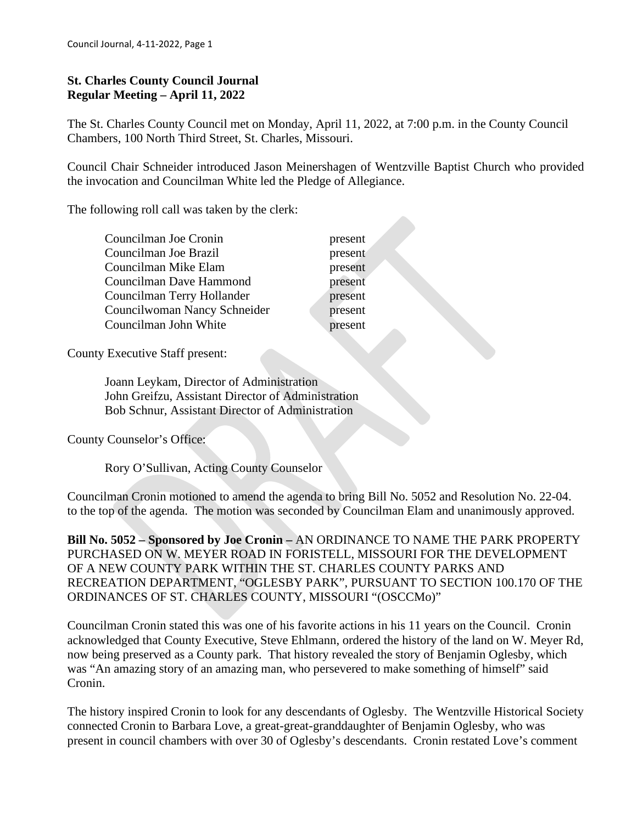### **St. Charles County Council Journal Regular Meeting – April 11, 2022**

The St. Charles County Council met on Monday, April 11, 2022, at 7:00 p.m. in the County Council Chambers, 100 North Third Street, St. Charles, Missouri.

Council Chair Schneider introduced Jason Meinershagen of Wentzville Baptist Church who provided the invocation and Councilman White led the Pledge of Allegiance.

The following roll call was taken by the clerk:

present present present present present present present

County Executive Staff present:

 Joann Leykam, Director of Administration John Greifzu, Assistant Director of Administration Bob Schnur, Assistant Director of Administration

County Counselor's Office:

Rory O'Sullivan, Acting County Counselor

Councilman Cronin motioned to amend the agenda to bring Bill No. 5052 and Resolution No. 22-04. to the top of the agenda. The motion was seconded by Councilman Elam and unanimously approved.

**Bill No. 5052 – Sponsored by Joe Cronin –** AN ORDINANCE TO NAME THE PARK PROPERTY PURCHASED ON W. MEYER ROAD IN FORISTELL, MISSOURI FOR THE DEVELOPMENT OF A NEW COUNTY PARK WITHIN THE ST. CHARLES COUNTY PARKS AND RECREATION DEPARTMENT, "OGLESBY PARK", PURSUANT TO SECTION 100.170 OF THE ORDINANCES OF ST. CHARLES COUNTY, MISSOURI "(OSCCMo)"

Councilman Cronin stated this was one of his favorite actions in his 11 years on the Council. Cronin acknowledged that County Executive, Steve Ehlmann, ordered the history of the land on W. Meyer Rd, now being preserved as a County park. That history revealed the story of Benjamin Oglesby, which was "An amazing story of an amazing man, who persevered to make something of himself" said Cronin.

The history inspired Cronin to look for any descendants of Oglesby. The Wentzville Historical Society connected Cronin to Barbara Love, a great-great-granddaughter of Benjamin Oglesby, who was present in council chambers with over 30 of Oglesby's descendants. Cronin restated Love's comment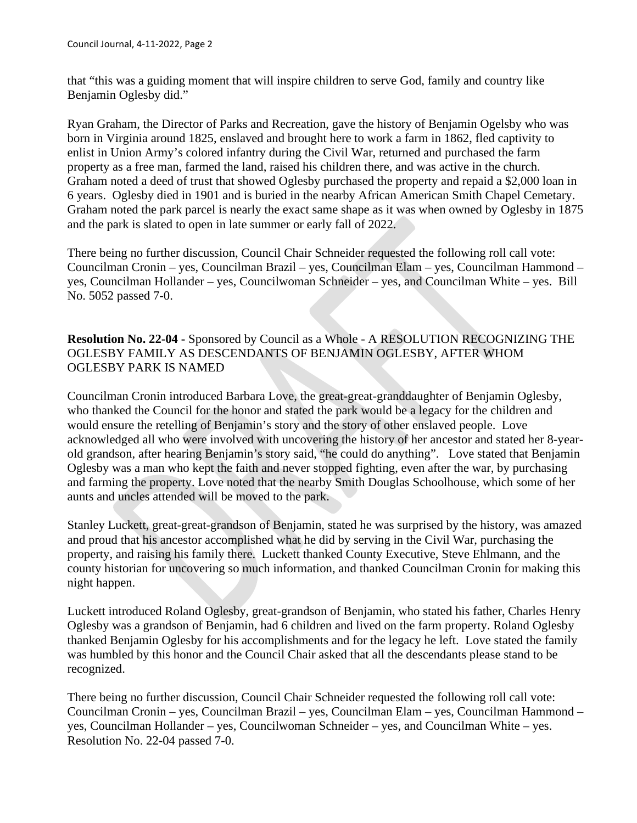that "this was a guiding moment that will inspire children to serve God, family and country like Benjamin Oglesby did."

Ryan Graham, the Director of Parks and Recreation, gave the history of Benjamin Ogelsby who was born in Virginia around 1825, enslaved and brought here to work a farm in 1862, fled captivity to enlist in Union Army's colored infantry during the Civil War, returned and purchased the farm property as a free man, farmed the land, raised his children there, and was active in the church. Graham noted a deed of trust that showed Oglesby purchased the property and repaid a \$2,000 loan in 6 years. Oglesby died in 1901 and is buried in the nearby African American Smith Chapel Cemetary. Graham noted the park parcel is nearly the exact same shape as it was when owned by Oglesby in 1875 and the park is slated to open in late summer or early fall of 2022.

There being no further discussion, Council Chair Schneider requested the following roll call vote: Councilman Cronin – yes, Councilman Brazil – yes, Councilman Elam – yes, Councilman Hammond – yes, Councilman Hollander – yes, Councilwoman Schneider – yes, and Councilman White – yes. Bill No. 5052 passed 7-0.

**Resolution No. 22-04 -** Sponsored by Council as a Whole - A RESOLUTION RECOGNIZING THE OGLESBY FAMILY AS DESCENDANTS OF BENJAMIN OGLESBY, AFTER WHOM OGLESBY PARK IS NAMED

Councilman Cronin introduced Barbara Love, the great-great-granddaughter of Benjamin Oglesby, who thanked the Council for the honor and stated the park would be a legacy for the children and would ensure the retelling of Benjamin's story and the story of other enslaved people. Love acknowledged all who were involved with uncovering the history of her ancestor and stated her 8-yearold grandson, after hearing Benjamin's story said, "he could do anything". Love stated that Benjamin Oglesby was a man who kept the faith and never stopped fighting, even after the war, by purchasing and farming the property. Love noted that the nearby Smith Douglas Schoolhouse, which some of her aunts and uncles attended will be moved to the park.

Stanley Luckett, great-great-grandson of Benjamin, stated he was surprised by the history, was amazed and proud that his ancestor accomplished what he did by serving in the Civil War, purchasing the property, and raising his family there. Luckett thanked County Executive, Steve Ehlmann, and the county historian for uncovering so much information, and thanked Councilman Cronin for making this night happen.

Luckett introduced Roland Oglesby, great-grandson of Benjamin, who stated his father, Charles Henry Oglesby was a grandson of Benjamin, had 6 children and lived on the farm property. Roland Oglesby thanked Benjamin Oglesby for his accomplishments and for the legacy he left. Love stated the family was humbled by this honor and the Council Chair asked that all the descendants please stand to be recognized.

There being no further discussion, Council Chair Schneider requested the following roll call vote: Councilman Cronin – yes, Councilman Brazil – yes, Councilman Elam – yes, Councilman Hammond – yes, Councilman Hollander – yes, Councilwoman Schneider – yes, and Councilman White – yes. Resolution No. 22-04 passed 7-0.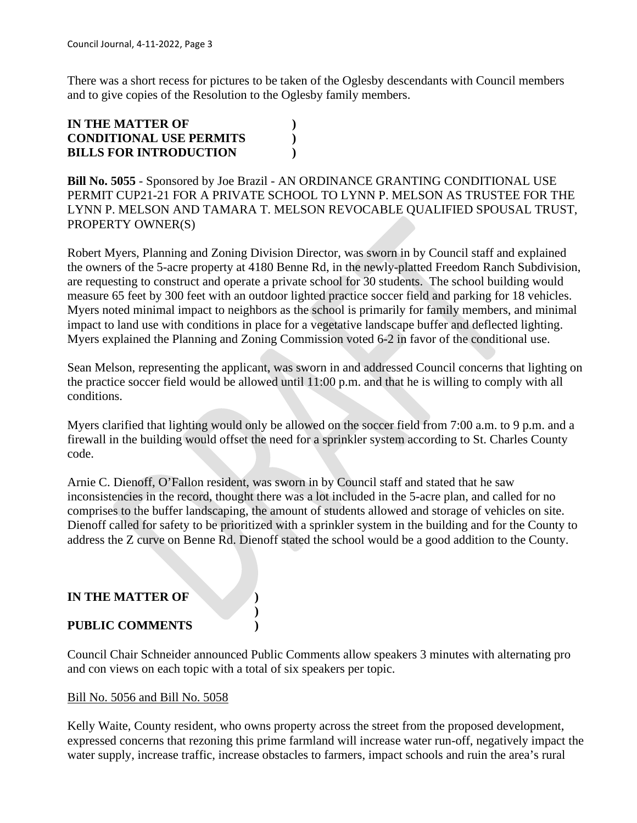There was a short recess for pictures to be taken of the Oglesby descendants with Council members and to give copies of the Resolution to the Oglesby family members.

# **IN THE MATTER OF ) CONDITIONAL USE PERMITS ) BILLS FOR INTRODUCTION )**

**Bill No. 5055** - Sponsored by Joe Brazil - AN ORDINANCE GRANTING CONDITIONAL USE PERMIT CUP21-21 FOR A PRIVATE SCHOOL TO LYNN P. MELSON AS TRUSTEE FOR THE LYNN P. MELSON AND TAMARA T. MELSON REVOCABLE QUALIFIED SPOUSAL TRUST, PROPERTY OWNER(S)

Robert Myers, Planning and Zoning Division Director, was sworn in by Council staff and explained the owners of the 5-acre property at 4180 Benne Rd, in the newly-platted Freedom Ranch Subdivision, are requesting to construct and operate a private school for 30 students. The school building would measure 65 feet by 300 feet with an outdoor lighted practice soccer field and parking for 18 vehicles. Myers noted minimal impact to neighbors as the school is primarily for family members, and minimal impact to land use with conditions in place for a vegetative landscape buffer and deflected lighting. Myers explained the Planning and Zoning Commission voted 6-2 in favor of the conditional use.

Sean Melson, representing the applicant, was sworn in and addressed Council concerns that lighting on the practice soccer field would be allowed until 11:00 p.m. and that he is willing to comply with all conditions.

Myers clarified that lighting would only be allowed on the soccer field from 7:00 a.m. to 9 p.m. and a firewall in the building would offset the need for a sprinkler system according to St. Charles County code.

Arnie C. Dienoff, O'Fallon resident, was sworn in by Council staff and stated that he saw inconsistencies in the record, thought there was a lot included in the 5-acre plan, and called for no comprises to the buffer landscaping, the amount of students allowed and storage of vehicles on site. Dienoff called for safety to be prioritized with a sprinkler system in the building and for the County to address the Z curve on Benne Rd. Dienoff stated the school would be a good addition to the County.

### **IN THE MATTER OF )**

### **PUBLIC COMMENTS )**

Council Chair Schneider announced Public Comments allow speakers 3 minutes with alternating pro and con views on each topic with a total of six speakers per topic.

**)**

### Bill No. 5056 and Bill No. 5058

Kelly Waite, County resident, who owns property across the street from the proposed development, expressed concerns that rezoning this prime farmland will increase water run-off, negatively impact the water supply, increase traffic, increase obstacles to farmers, impact schools and ruin the area's rural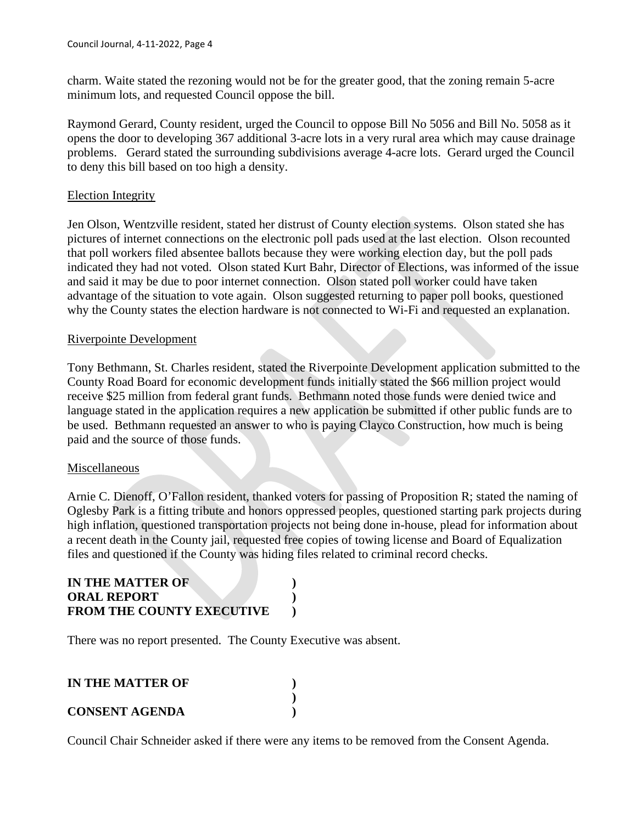charm. Waite stated the rezoning would not be for the greater good, that the zoning remain 5-acre minimum lots, and requested Council oppose the bill.

Raymond Gerard, County resident, urged the Council to oppose Bill No 5056 and Bill No. 5058 as it opens the door to developing 367 additional 3-acre lots in a very rural area which may cause drainage problems. Gerard stated the surrounding subdivisions average 4-acre lots. Gerard urged the Council to deny this bill based on too high a density.

### Election Integrity

Jen Olson, Wentzville resident, stated her distrust of County election systems. Olson stated she has pictures of internet connections on the electronic poll pads used at the last election. Olson recounted that poll workers filed absentee ballots because they were working election day, but the poll pads indicated they had not voted. Olson stated Kurt Bahr, Director of Elections, was informed of the issue and said it may be due to poor internet connection. Olson stated poll worker could have taken advantage of the situation to vote again. Olson suggested returning to paper poll books, questioned why the County states the election hardware is not connected to Wi-Fi and requested an explanation.

#### Riverpointe Development

Tony Bethmann, St. Charles resident, stated the Riverpointe Development application submitted to the County Road Board for economic development funds initially stated the \$66 million project would receive \$25 million from federal grant funds. Bethmann noted those funds were denied twice and language stated in the application requires a new application be submitted if other public funds are to be used. Bethmann requested an answer to who is paying Clayco Construction, how much is being paid and the source of those funds.

### Miscellaneous

Arnie C. Dienoff, O'Fallon resident, thanked voters for passing of Proposition R; stated the naming of Oglesby Park is a fitting tribute and honors oppressed peoples, questioned starting park projects during high inflation, questioned transportation projects not being done in-house, plead for information about a recent death in the County jail, requested free copies of towing license and Board of Equalization files and questioned if the County was hiding files related to criminal record checks.

### **IN THE MATTER OF ) ORAL REPORT ) FROM THE COUNTY EXECUTIVE )**

There was no report presented. The County Executive was absent.

# **IN THE MATTER OF ) ) CONSENT AGENDA )**

Council Chair Schneider asked if there were any items to be removed from the Consent Agenda.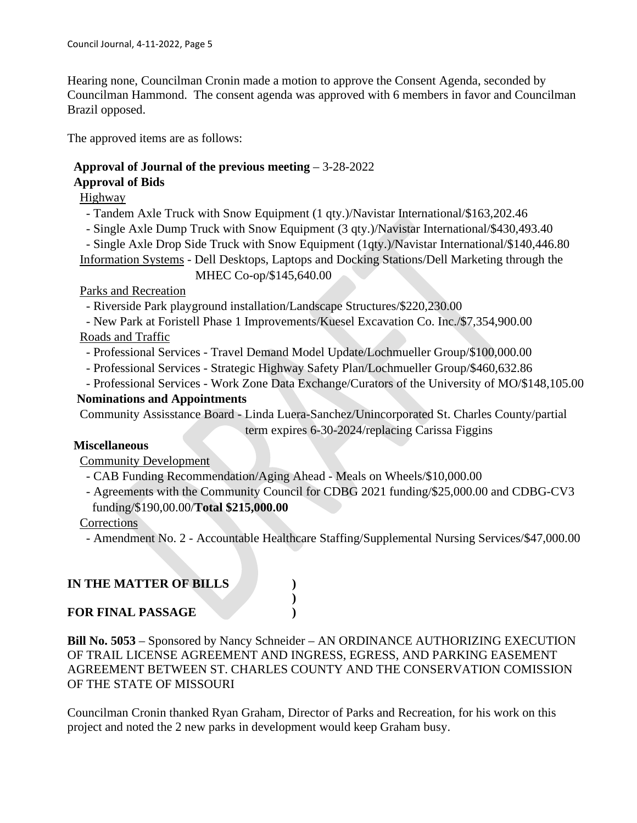Hearing none, Councilman Cronin made a motion to approve the Consent Agenda, seconded by Councilman Hammond. The consent agenda was approved with 6 members in favor and Councilman Brazil opposed.

The approved items are as follows:

# **Approval of Journal of the previous meeting** – 3-28-2022

# **Approval of Bids**

Highway

- Tandem Axle Truck with Snow Equipment (1 qty.)/Navistar International/\$163,202.46

- Single Axle Dump Truck with Snow Equipment (3 qty.)/Navistar International/\$430,493.40

 - Single Axle Drop Side Truck with Snow Equipment (1qty.)/Navistar International/\$140,446.80 Information Systems - Dell Desktops, Laptops and Docking Stations/Dell Marketing through the

MHEC Co-op/\$145,640.00

# Parks and Recreation

- Riverside Park playground installation/Landscape Structures/\$220,230.00

 - New Park at Foristell Phase 1 Improvements/Kuesel Excavation Co. Inc./\$7,354,900.00 Roads and Traffic

- Professional Services - Travel Demand Model Update/Lochmueller Group/\$100,000.00

- Professional Services - Strategic Highway Safety Plan/Lochmueller Group/\$460,632.86

- Professional Services - Work Zone Data Exchange/Curators of the University of MO/\$148,105.00

# **Nominations and Appointments**

Community Assisstance Board - Linda Luera-Sanchez/Unincorporated St. Charles County/partial term expires 6-30-2024/replacing Carissa Figgins

# **Miscellaneous**

Community Development

- CAB Funding Recommendation/Aging Ahead - Meals on Wheels/\$10,000.00

**)**

 - Agreements with the Community Council for CDBG 2021 funding/\$25,000.00 and CDBG-CV3 funding/\$190,00.00/**Total \$215,000.00**

Corrections

- Amendment No. 2 - Accountable Healthcare Staffing/Supplemental Nursing Services/\$47,000.00

# **IN THE MATTER OF BILLS )**

# **FOR FINAL PASSAGE )**

**Bill No. 5053** – Sponsored by Nancy Schneider – AN ORDINANCE AUTHORIZING EXECUTION OF TRAIL LICENSE AGREEMENT AND INGRESS, EGRESS, AND PARKING EASEMENT AGREEMENT BETWEEN ST. CHARLES COUNTY AND THE CONSERVATION COMISSION OF THE STATE OF MISSOURI

Councilman Cronin thanked Ryan Graham, Director of Parks and Recreation, for his work on this project and noted the 2 new parks in development would keep Graham busy.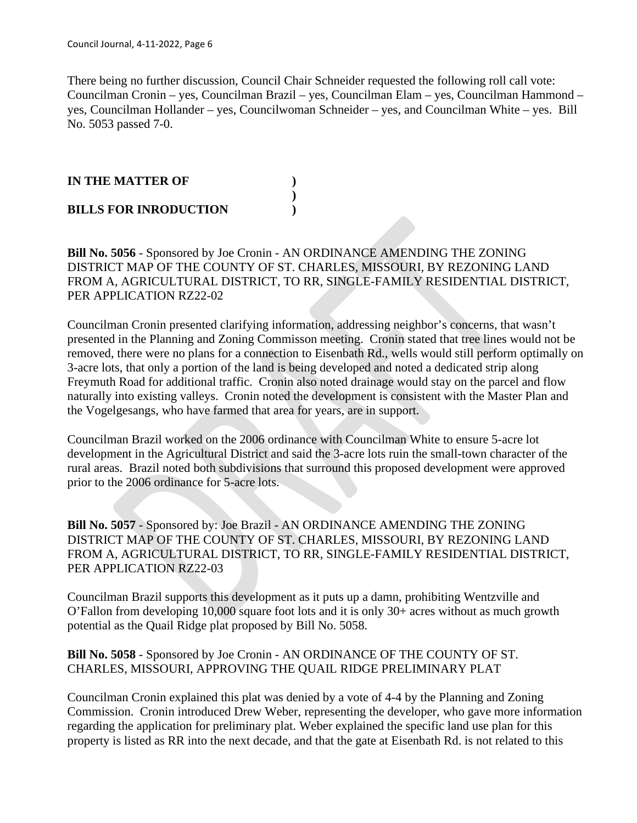There being no further discussion, Council Chair Schneider requested the following roll call vote: Councilman Cronin – yes, Councilman Brazil – yes, Councilman Elam – yes, Councilman Hammond – yes, Councilman Hollander – yes, Councilwoman Schneider – yes, and Councilman White – yes. Bill No. 5053 passed 7-0.

### **IN THE MATTER OF ) ) BILLS FOR INRODUCTION )**

**Bill No. 5056** - Sponsored by Joe Cronin - AN ORDINANCE AMENDING THE ZONING DISTRICT MAP OF THE COUNTY OF ST. CHARLES, MISSOURI, BY REZONING LAND FROM A, AGRICULTURAL DISTRICT, TO RR, SINGLE-FAMILY RESIDENTIAL DISTRICT, PER APPLICATION RZ22-02

Councilman Cronin presented clarifying information, addressing neighbor's concerns, that wasn't presented in the Planning and Zoning Commisson meeting. Cronin stated that tree lines would not be removed, there were no plans for a connection to Eisenbath Rd., wells would still perform optimally on 3-acre lots, that only a portion of the land is being developed and noted a dedicated strip along Freymuth Road for additional traffic. Cronin also noted drainage would stay on the parcel and flow naturally into existing valleys. Cronin noted the development is consistent with the Master Plan and the Vogelgesangs, who have farmed that area for years, are in support.

Councilman Brazil worked on the 2006 ordinance with Councilman White to ensure 5-acre lot development in the Agricultural District and said the 3-acre lots ruin the small-town character of the rural areas. Brazil noted both subdivisions that surround this proposed development were approved prior to the 2006 ordinance for 5-acre lots.

**Bill No. 5057** - Sponsored by: Joe Brazil - AN ORDINANCE AMENDING THE ZONING DISTRICT MAP OF THE COUNTY OF ST. CHARLES, MISSOURI, BY REZONING LAND FROM A, AGRICULTURAL DISTRICT, TO RR, SINGLE-FAMILY RESIDENTIAL DISTRICT, PER APPLICATION RZ22-03

Councilman Brazil supports this development as it puts up a damn, prohibiting Wentzville and O'Fallon from developing 10,000 square foot lots and it is only 30+ acres without as much growth potential as the Quail Ridge plat proposed by Bill No. 5058.

### **Bill No. 5058** - Sponsored by Joe Cronin - AN ORDINANCE OF THE COUNTY OF ST. CHARLES, MISSOURI, APPROVING THE QUAIL RIDGE PRELIMINARY PLAT

Councilman Cronin explained this plat was denied by a vote of 4-4 by the Planning and Zoning Commission. Cronin introduced Drew Weber, representing the developer, who gave more information regarding the application for preliminary plat. Weber explained the specific land use plan for this property is listed as RR into the next decade, and that the gate at Eisenbath Rd. is not related to this